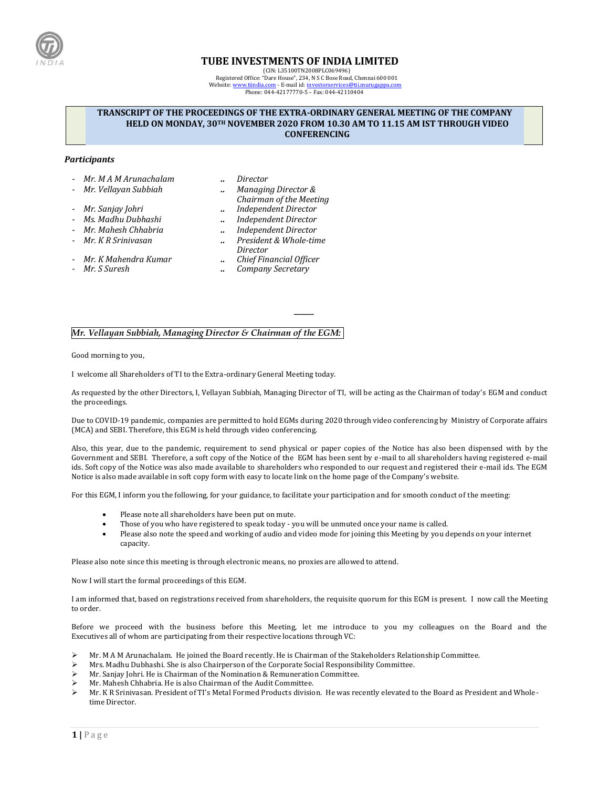

# **TUBE INVESTMENTS OF INDIA LIMITED**

(CIN: L35100TN2008PLC069496) Registered Office: "Dare House", 234, N S C Bose Road, Chennai 600 001 Website[: www.tiindia.com](http://www.tiindia.com/) - E-mail id[: investorservices@tii.murugappa.com](mailto:investorservices@tii.murugappa.com) Phone: 044-42177770-5 – Fax: 044-42110404

### **TRANSCRIPT OF THE PROCEEDINGS OF THE EXTRA-ORDINARY GENERAL MEETING OF THE COMPANY HELD ON MONDAY, 30TH NOVEMBER 2020 FROM 10.30 AM TO 11.15 AM IST THROUGH VIDEO CONFERENCING**

#### *Participants*

- *Mr. M A M Arunachalam .. Director*
- 
- *Mr. Vellayan Subbiah .. Managing Director & Chairman of the Meeting*
- *Mr. Sanjay Johri .. Independent Director*
	-
- *Ms. Madhu Dubhashi .. Independent Director*
- *Mr. Mahesh Chhabria .. Independent Director* - *Mr. K R Srinivasan .. President & Whole-time Director*
	-
- *Mr. K Mahendra Kumar .. Chief Financial Officer* - *Mr. S Suresh .. Company Secretary*

## *Mr. Vellayan Subbiah, Managing Director & Chairman of the EGM:*

Good morning to you,

I welcome all Shareholders of TI to the Extra-ordinary General Meeting today.

As requested by the other Directors, I, Vellayan Subbiah, Managing Director of TI, will be acting as the Chairman of today's EGM and conduct the proceedings.

**\_\_\_\_\_\_**

Due to COVID-19 pandemic, companies are permitted to hold EGMs during 2020 through video conferencing by Ministry of Corporate affairs (MCA) and SEBI. Therefore, this EGM is held through video conferencing.

Also, this year, due to the pandemic, requirement to send physical or paper copies of the Notice has also been dispensed with by the Government and SEBI. Therefore, a soft copy of the Notice of the EGM has been sent by e-mail to all shareholders having registered e-mail ids. Soft copy of the Notice was also made available to shareholders who responded to our request and registered their e-mail ids. The EGM Notice is also made available in soft copy form with easy to locate link on the home page of the Company's website.

For this EGM, I inform you the following, for your guidance, to facilitate your participation and for smooth conduct of the meeting:

- Please note all shareholders have been put on mute.
- Those of you who have registered to speak today you will be unmuted once your name is called.
- Please also note the speed and working of audio and video mode for joining this Meeting by you depends on your internet capacity.

Please also note since this meeting is through electronic means, no proxies are allowed to attend.

Now I will start the formal proceedings of this EGM.

I am informed that, based on registrations received from shareholders, the requisite quorum for this EGM is present. I now call the Meeting to order.

Before we proceed with the business before this Meeting, let me introduce to you my colleagues on the Board and the Executives all of whom are participating from their respective locations through VC:

- ➢ Mr. M A M Arunachalam. He joined the Board recently. He is Chairman of the Stakeholders Relationship Committee.
- ➢ Mrs. Madhu Dubhashi. She is also Chairperson of the Corporate Social Responsibility Committee.
- ➢ Mr. Sanjay Johri. He is Chairman of the Nomination & Remuneration Committee.
- ➢ Mr. Mahesh Chhabria. He is also Chairman of the Audit Committee.
- ➢ Mr. K R Srinivasan. President of TI's Metal Formed Products division. He was recently elevated to the Board as President and Wholetime Director.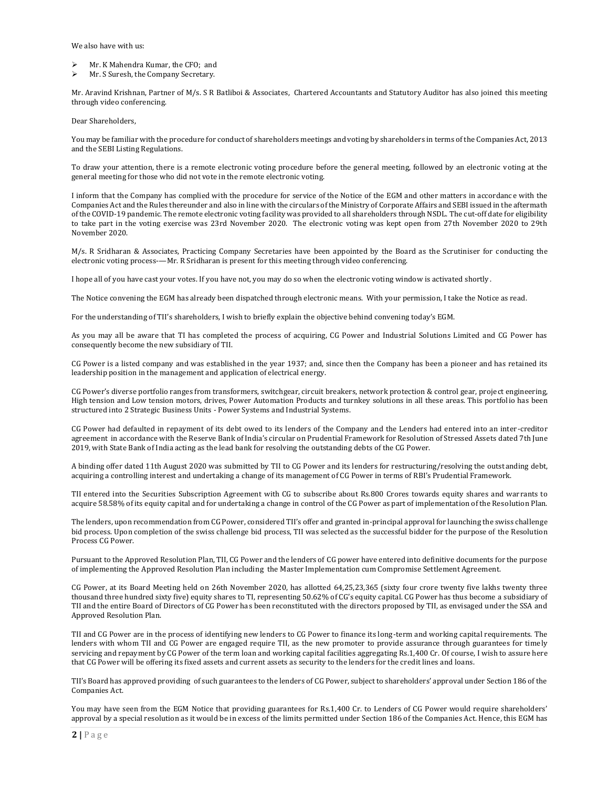We also have with us:

- ➢ Mr. K Mahendra Kumar, the CFO; and
- ➢ Mr. S Suresh, the Company Secretary.

Mr. Aravind Krishnan, Partner of M/s. S R Batliboi & Associates, Chartered Accountants and Statutory Auditor has also joined this meeting through video conferencing.

Dear Shareholders,

You may be familiar with the procedure for conduct of shareholders meetings and voting by shareholders in terms of the Companies Act, 2013 and the SEBI Listing Regulations.

To draw your attention, there is a remote electronic voting procedure before the general meeting, followed by an electronic voting at the general meeting for those who did not vote in the remote electronic voting.

I inform that the Company has complied with the procedure for service of the Notice of the EGM and other matters in accordance with the Companies Act and the Rules thereunder and also in line with the circulars of the Ministry of Corporate Affairs and SEBI issued in the aftermath of the COVID-19 pandemic. The remote electronic voting facility was provided to all shareholders through NSDL. The cut-off date for eligibility to take part in the voting exercise was 23rd November 2020. The electronic voting was kept open from 27th November 2020 to 29th November 2020.

M/s. R Sridharan & Associates, Practicing Company Secretaries have been appointed by the Board as the Scrutiniser for conducting the electronic voting process-—Mr. R Sridharan is present for this meeting through video conferencing.

I hope all of you have cast your votes. If you have not, you may do so when the electronic voting window is activated shortly.

The Notice convening the EGM has already been dispatched through electronic means. With your permission, I take the Notice as read.

For the understanding of TII's shareholders, I wish to briefly explain the objective behind convening today's EGM.

As you may all be aware that TI has completed the process of acquiring, CG Power and Industrial Solutions Limited and CG Power has consequently become the new subsidiary of TII.

CG Power is a listed company and was established in the year 1937; and, since then the Company has been a pioneer and has retained its leadership position in the management and application of electrical energy.

CG Power's diverse portfolio ranges from transformers, switchgear, circuit breakers, network protection & control gear, project engineering, High tension and Low tension motors, drives, Power Automation Products and turnkey solutions in all these areas. This portfolio has been structured into 2 Strategic Business Units - Power Systems and Industrial Systems.

CG Power had defaulted in repayment of its debt owed to its lenders of the Company and the Lenders had entered into an inter-creditor agreement in accordance with the Reserve Bank of India's circular on Prudential Framework for Resolution of Stressed Assets dated 7th June 2019, with State Bank of India acting as the lead bank for resolving the outstanding debts of the CG Power.

A binding offer dated 11th August 2020 was submitted by TII to CG Power and its lenders for restructuring/resolving the outstanding debt, acquiring a controlling interest and undertaking a change of its management of CG Power in terms of RBI's Prudential Framework.

TII entered into the Securities Subscription Agreement with CG to subscribe about Rs.800 Crores towards equity shares and war rants to acquire 58.58% of its equity capital and for undertaking a change in control of the CG Power as part of implementation of the Resolution Plan.

The lenders, upon recommendation from CG Power, considered TII's offer and granted in-principal approval for launching the swiss challenge bid process. Upon completion of the swiss challenge bid process, TII was selected as the successful bidder for the purpose of the Resolution Process CG Power.

Pursuant to the Approved Resolution Plan, TII, CG Power and the lenders of CG power have entered into definitive documents for the purpose of implementing the Approved Resolution Plan including the Master Implementation cum Compromise Settlement Agreement.

CG Power, at its Board Meeting held on 26th November 2020, has allotted 64,25,23,365 (sixty four crore twenty five lakhs twenty three thousand three hundred sixty five) equity shares to TI, representing 50.62% of CG's equity capital. CG Power has thus become a subsidiary of TII and the entire Board of Directors of CG Power has been reconstituted with the directors proposed by TII, as envisaged under the SSA and Approved Resolution Plan.

TII and CG Power are in the process of identifying new lenders to CG Power to finance its long-term and working capital requirements. The lenders with whom TII and CG Power are engaged require TII, as the new promoter to provide assurance through guarantees for timely servicing and repayment by CG Power of the term loan and working capital facilities aggregating Rs.1,400 Cr. Of course, I wish to assure here that CG Power will be offering its fixed assets and current assets as security to the lenders for the credit lines and loans.

TII's Board has approved providing of such guarantees to the lenders of CG Power, subject to shareholders' approval under Section 186 of the Companies Act.

You may have seen from the EGM Notice that providing guarantees for Rs.1,400 Cr. to Lenders of CG Power would require shareholders' approval by a special resolution as it would be in excess of the limits permitted under Section 186 of the Companies Act. Hence, this EGM has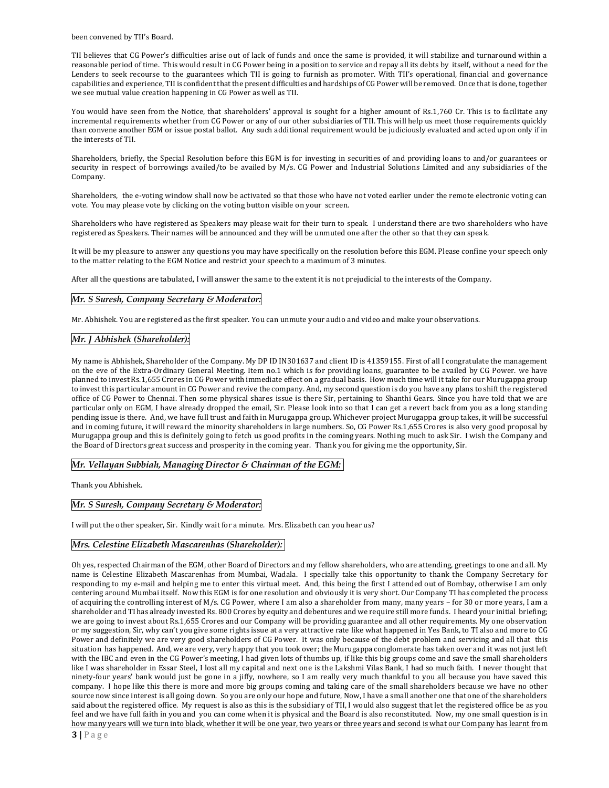been convened by TII's Board.

TII believes that CG Power's difficulties arise out of lack of funds and once the same is provided, it will stabilize and turnaround within a reasonable period of time. This would result in CG Power being in a position to service and repay all its debts by itself, without a need for the Lenders to seek recourse to the guarantees which TII is going to furnish as promoter. With TII's operational, financial and governance capabilities and experience, TII is confident that the present difficulties and hardships of CG Power will be removed. Once that is done, together we see mutual value creation happening in CG Power as well as TII.

You would have seen from the Notice, that shareholders' approval is sought for a higher amount of Rs.1,760 Cr. This is to facilitate any incremental requirements whether from CG Power or any of our other subsidiaries of TII. This will help us meet those requirements quickly than convene another EGM or issue postal ballot. Any such additional requirement would be judiciously evaluated and acted upon only if in the interests of TII.

Shareholders, briefly, the Special Resolution before this EGM is for investing in securities of and providing loans to and/or guarantees or security in respect of borrowings availed/to be availed by M/s. CG Power and Industrial Solutions Limited and any subsidiaries of the Company.

Shareholders, the e-voting window shall now be activated so that those who have not voted earlier under the remote electronic voting can vote. You may please vote by clicking on the voting button visible on your screen.

Shareholders who have registered as Speakers may please wait for their turn to speak. I understand there are two shareholders who have registered as Speakers. Their names will be announced and they will be unmuted one after the other so that they can speak.

It will be my pleasure to answer any questions you may have specifically on the resolution before this EGM. Please confine your speech only to the matter relating to the EGM Notice and restrict your speech to a maximum of 3 minutes.

After all the questions are tabulated, I will answer the same to the extent it is not prejudicial to the interests of the Company.

### *Mr. S Suresh, Company Secretary & Moderator:*

Mr. Abhishek. You are registered as the first speaker. You can unmute your audio and video and make your observations.

### *Mr. J Abhishek (Shareholder):*

My name is Abhishek, Shareholder of the Company. My DP ID IN301637 and client ID is 41359155. First of all I congratulate the management on the eve of the Extra-Ordinary General Meeting. Item no.1 which is for providing loans, guarantee to be availed by CG Power. we have planned to invest Rs.1,655 Crores in CG Power with immediate effect on a gradual basis. How much time will it take for our Murugappa group to invest this particular amount in CG Power and revive the company. And, my second question is do you have any plans to shift the registered office of CG Power to Chennai. Then some physical shares issue is there Sir, pertaining to Shanthi Gears. Since you have told that we are particular only on EGM, I have already dropped the email, Sir. Please look into so that I can get a revert back from you as a long standing pending issue is there. And, we have full trust and faith in Murugappa group. Whichever project Murugappa group takes, it will be successful and in coming future, it will reward the minority shareholders in large numbers. So, CG Power Rs.1,655 Crores is also very good proposal by Murugappa group and this is definitely going to fetch us good profits in the coming years. Nothing much to ask Sir. I wish the Company and the Board of Directors great success and prosperity in the coming year. Thank you for giving me the opportunity, Sir.

#### *Mr. Vellayan Subbiah, Managing Director & Chairman of the EGM:*

Thank you Abhishek.

### *Mr. S Suresh, Company Secretary & Moderator:*

I will put the other speaker, Sir. Kindly wait for a minute. Mrs. Elizabeth can you hear us?

## *Mrs. Celestine Elizabeth Mascarenhas (Shareholder):*

**3 |** P a g e Oh yes, respected Chairman of the EGM, other Board of Directors and my fellow shareholders, who are attending, greetings to one and all. My name is Celestine Elizabeth Mascarenhas from Mumbai, Wadala. I specially take this opportunity to thank the Company Secretary for responding to my e-mail and helping me to enter this virtual meet. And, this being the first I attended out of Bombay, otherwise I am only centering around Mumbai itself. Now this EGM is for one resolution and obviously it is very short. Our Company TI has completed the process of acquiring the controlling interest of M/s. CG Power, where I am also a shareholder from many, many years – for 30 or more years, I am a shareholder and TI has already invested Rs. 800 Crores by equity and debentures and we require still more funds. I heard your initial briefing; we are going to invest about Rs.1,655 Crores and our Company will be providing guarantee and all other requirements. My one observation or my suggestion, Sir, why can't you give some rights issue at a very attractive rate like what happened in Yes Bank, to TI also and more to CG Power and definitely we are very good shareholders of CG Power. It was only because of the debt problem and servicing and all that this situation has happened. And, we are very, very happy that you took over; the Murugappa conglomerate has taken over and it was not just left with the IBC and even in the CG Power's meeting, I had given lots of thumbs up, if like this big groups come and save the small shareholders like I was shareholder in Essar Steel, I lost all my capital and next one is the Lakshmi Vilas Bank, I had so much faith. I never thought that ninety-four years' bank would just be gone in a jiffy, nowhere, so I am really very much thankful to you all because you have saved this company. I hope like this there is more and more big groups coming and taking care of the small shareholders because we have no other source now since interest is all going down. So you are only our hope and future, Now, I have a small another one that one of the shareholders said about the registered office. My request is also as this is the subsidiary of TII, I would also suggest that let the registered office be as you feel and we have full faith in you and you can come when it is physical and the Board is also reconstituted. Now, my one small question is in how many years will we turn into black, whether it will be one year, two years or three years and second is what our Company has learnt from